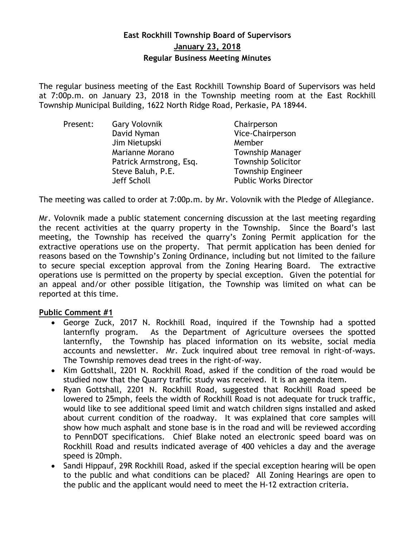# **East Rockhill Township Board of Supervisors January 23, 2018 Regular Business Meeting Minutes**

The regular business meeting of the East Rockhill Township Board of Supervisors was held at 7:00p.m. on January 23, 2018 in the Township meeting room at the East Rockhill Township Municipal Building, 1622 North Ridge Road, Perkasie, PA 18944.

| Present: | <b>Gary Volovnik</b>    | Chairperson                  |
|----------|-------------------------|------------------------------|
|          | David Nyman             | Vice-Chairperson             |
|          | Jim Nietupski           | Member                       |
|          | Marianne Morano         | <b>Township Manager</b>      |
|          | Patrick Armstrong, Esq. | <b>Township Solicitor</b>    |
|          | Steve Baluh, P.E.       | <b>Township Engineer</b>     |
|          | Jeff Scholl             | <b>Public Works Director</b> |

The meeting was called to order at 7:00p.m. by Mr. Volovnik with the Pledge of Allegiance.

Mr. Volovnik made a public statement concerning discussion at the last meeting regarding the recent activities at the quarry property in the Township. Since the Board's last meeting, the Township has received the quarry's Zoning Permit application for the extractive operations use on the property. That permit application has been denied for reasons based on the Township's Zoning Ordinance, including but not limited to the failure to secure special exception approval from the Zoning Hearing Board. The extractive operations use is permitted on the property by special exception. Given the potential for an appeal and/or other possible litigation, the Township was limited on what can be reported at this time.

## **Public Comment #1**

- George Zuck, 2017 N. Rockhill Road, inquired if the Township had a spotted lanternfly program. As the Department of Agriculture oversees the spotted lanternfly, the Township has placed information on its website, social media accounts and newsletter. Mr. Zuck inquired about tree removal in right-of-ways. The Township removes dead trees in the right-of-way.
- Kim Gottshall, 2201 N. Rockhill Road, asked if the condition of the road would be studied now that the Quarry traffic study was received. It is an agenda item.
- Ryan Gottshall, 2201 N. Rockhill Road, suggested that Rockhill Road speed be lowered to 25mph, feels the width of Rockhill Road is not adequate for truck traffic, would like to see additional speed limit and watch children signs installed and asked about current condition of the roadway. It was explained that core samples will show how much asphalt and stone base is in the road and will be reviewed according to PennDOT specifications. Chief Blake noted an electronic speed board was on Rockhill Road and results indicated average of 400 vehicles a day and the average speed is 20mph.
- Sandi Hippauf, 29R Rockhill Road, asked if the special exception hearing will be open to the public and what conditions can be placed? All Zoning Hearings are open to the public and the applicant would need to meet the H-12 extraction criteria.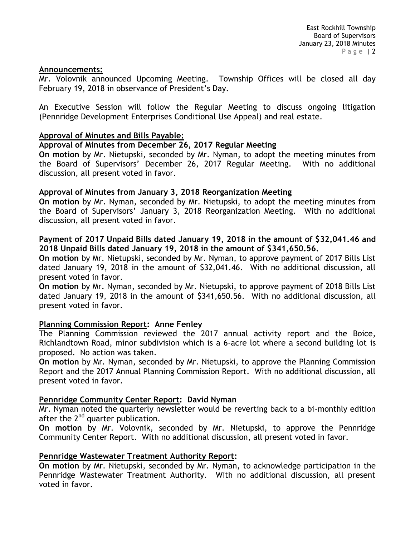#### **Announcements:**

Mr. Volovnik announced Upcoming Meeting. Township Offices will be closed all day February 19, 2018 in observance of President's Day.

An Executive Session will follow the Regular Meeting to discuss ongoing litigation (Pennridge Development Enterprises Conditional Use Appeal) and real estate.

### **Approval of Minutes and Bills Payable:**

### **Approval of Minutes from December 26, 2017 Regular Meeting**

**On motion** by Mr. Nietupski, seconded by Mr. Nyman, to adopt the meeting minutes from the Board of Supervisors' December 26, 2017 Regular Meeting. With no additional discussion, all present voted in favor.

### **Approval of Minutes from January 3, 2018 Reorganization Meeting**

**On motion** by Mr. Nyman, seconded by Mr. Nietupski, to adopt the meeting minutes from the Board of Supervisors' January 3, 2018 Reorganization Meeting. With no additional discussion, all present voted in favor.

### **Payment of 2017 Unpaid Bills dated January 19, 2018 in the amount of \$32,041.46 and 2018 Unpaid Bills dated January 19, 2018 in the amount of \$341,650.56.**

**On motion** by Mr. Nietupski, seconded by Mr. Nyman, to approve payment of 2017 Bills List dated January 19, 2018 in the amount of \$32,041.46. With no additional discussion, all present voted in favor.

**On motion** by Mr. Nyman, seconded by Mr. Nietupski, to approve payment of 2018 Bills List dated January 19, 2018 in the amount of \$341,650.56. With no additional discussion, all present voted in favor.

#### **Planning Commission Report: Anne Fenley**

The Planning Commission reviewed the 2017 annual activity report and the Boice, Richlandtown Road, minor subdivision which is a 6-acre lot where a second building lot is proposed. No action was taken.

**On motion** by Mr. Nyman, seconded by Mr. Nietupski, to approve the Planning Commission Report and the 2017 Annual Planning Commission Report. With no additional discussion, all present voted in favor.

#### **Pennridge Community Center Report: David Nyman**

Mr. Nyman noted the quarterly newsletter would be reverting back to a bi-monthly edition after the  $2^{nd}$  quarter publication.

**On motion** by Mr. Volovnik, seconded by Mr. Nietupski, to approve the Pennridge Community Center Report. With no additional discussion, all present voted in favor.

#### **Pennridge Wastewater Treatment Authority Report:**

**On motion** by Mr. Nietupski, seconded by Mr. Nyman, to acknowledge participation in the Pennridge Wastewater Treatment Authority. With no additional discussion, all present voted in favor.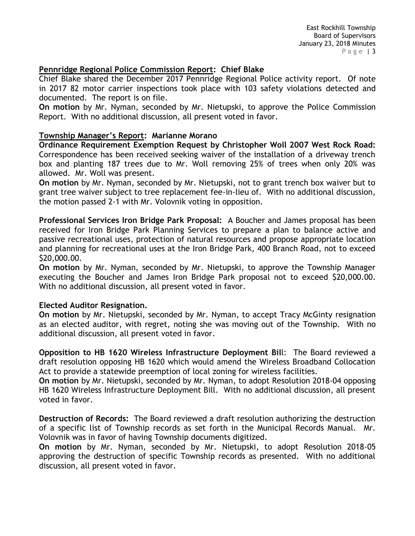# **Pennridge Regional Police Commission Report: Chief Blake**

Chief Blake shared the December 2017 Pennridge Regional Police activity report. Of note in 2017 82 motor carrier inspections took place with 103 safety violations detected and documented. The report is on file.

**On motion** by Mr. Nyman, seconded by Mr. Nietupski, to approve the Police Commission Report. With no additional discussion, all present voted in favor.

## **Township Manager's Report: Marianne Morano**

**Ordinance Requirement Exemption Request by Christopher Woll 2007 West Rock Road:** Correspondence has been received seeking waiver of the installation of a driveway trench box and planting 187 trees due to Mr. Woll removing 25% of trees when only 20% was allowed. Mr. Woll was present.

**On motion** by Mr. Nyman, seconded by Mr. Nietupski, not to grant trench box waiver but to grant tree waiver subject to tree replacement fee-in-lieu of. With no additional discussion, the motion passed 2-1 with Mr. Volovnik voting in opposition.

**Professional Services Iron Bridge Park Proposal:** A Boucher and James proposal has been received for Iron Bridge Park Planning Services to prepare a plan to balance active and passive recreational uses, protection of natural resources and propose appropriate location and planning for recreational uses at the Iron Bridge Park, 400 Branch Road, not to exceed \$20,000.00.

**On motion** by Mr. Nyman, seconded by Mr. Nietupski, to approve the Township Manager executing the Boucher and James Iron Bridge Park proposal not to exceed \$20,000.00. With no additional discussion, all present voted in favor.

#### **Elected Auditor Resignation.**

**On motion** by Mr. Nietupski, seconded by Mr. Nyman, to accept Tracy McGinty resignation as an elected auditor, with regret, noting she was moving out of the Township. With no additional discussion, all present voted in favor.

**Opposition to HB 1620 Wireless Infrastructure Deployment Bil**l: The Board reviewed a draft resolution opposing HB 1620 which would amend the Wireless Broadband Collocation Act to provide a statewide preemption of local zoning for wireless facilities.

**On motion** by Mr. Nietupski, seconded by Mr. Nyman, to adopt Resolution 2018-04 opposing HB 1620 Wireless Infrastructure Deployment Bill. With no additional discussion, all present voted in favor.

**Destruction of Records:** The Board reviewed a draft resolution authorizing the destruction of a specific list of Township records as set forth in the Municipal Records Manual. Mr. Volovnik was in favor of having Township documents digitized.

**On motion** by Mr. Nyman, seconded by Mr. Nietupski, to adopt Resolution 2018-05 approving the destruction of specific Township records as presented. With no additional discussion, all present voted in favor.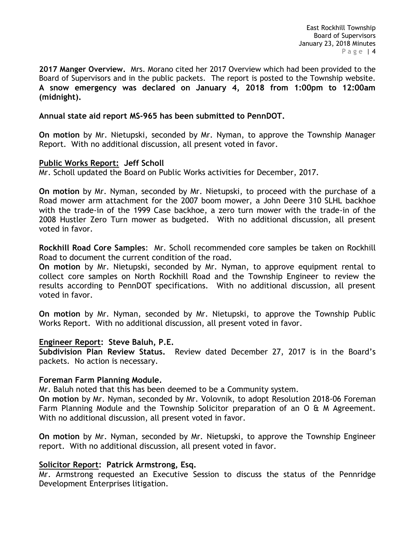East Rockhill Township Board of Supervisors January 23, 2018 Minutes Page | 4

**2017 Manger Overview.** Mrs. Morano cited her 2017 Overview which had been provided to the Board of Supervisors and in the public packets. The report is posted to the Township website. **A snow emergency was declared on January 4, 2018 from 1:00pm to 12:00am (midnight).** 

#### **Annual state aid report MS-965 has been submitted to PennDOT.**

**On motion** by Mr. Nietupski, seconded by Mr. Nyman, to approve the Township Manager Report. With no additional discussion, all present voted in favor.

#### **Public Works Report: Jeff Scholl**

Mr. Scholl updated the Board on Public Works activities for December, 2017.

**On motion** by Mr. Nyman, seconded by Mr. Nietupski, to proceed with the purchase of a Road mower arm attachment for the 2007 boom mower, a John Deere 310 SLHL backhoe with the trade-in of the 1999 Case backhoe, a zero turn mower with the trade-in of the 2008 Hustler Zero Turn mower as budgeted. With no additional discussion, all present voted in favor.

**Rockhill Road Core Samples**: Mr. Scholl recommended core samples be taken on Rockhill Road to document the current condition of the road.

**On motion** by Mr. Nietupski, seconded by Mr. Nyman, to approve equipment rental to collect core samples on North Rockhill Road and the Township Engineer to review the results according to PennDOT specifications. With no additional discussion, all present voted in favor.

**On motion** by Mr. Nyman, seconded by Mr. Nietupski, to approve the Township Public Works Report. With no additional discussion, all present voted in favor.

#### **Engineer Report: Steve Baluh, P.E.**

**Subdivision Plan Review Status.** Review dated December 27, 2017 is in the Board's packets. No action is necessary.

#### **Foreman Farm Planning Module.**

Mr. Baluh noted that this has been deemed to be a Community system.

**On motion** by Mr. Nyman, seconded by Mr. Volovnik, to adopt Resolution 2018-06 Foreman Farm Planning Module and the Township Solicitor preparation of an O & M Agreement. With no additional discussion, all present voted in favor.

**On motion** by Mr. Nyman, seconded by Mr. Nietupski, to approve the Township Engineer report. With no additional discussion, all present voted in favor.

#### **Solicitor Report: Patrick Armstrong, Esq.**

Mr. Armstrong requested an Executive Session to discuss the status of the Pennridge Development Enterprises litigation.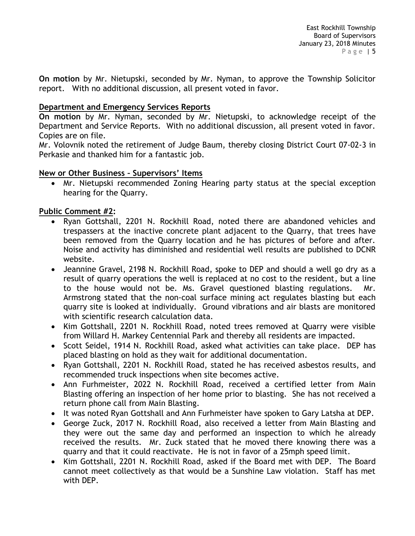**On motion** by Mr. Nietupski, seconded by Mr. Nyman, to approve the Township Solicitor report. With no additional discussion, all present voted in favor.

# **Department and Emergency Services Reports**

**On motion** by Mr. Nyman, seconded by Mr. Nietupski, to acknowledge receipt of the Department and Service Reports. With no additional discussion, all present voted in favor. Copies are on file.

Mr. Volovnik noted the retirement of Judge Baum, thereby closing District Court 07-02-3 in Perkasie and thanked him for a fantastic job.

# **New or Other Business – Supervisors' Items**

 Mr. Nietupski recommended Zoning Hearing party status at the special exception hearing for the Quarry.

# **Public Comment #2:**

- Ryan Gottshall, 2201 N. Rockhill Road, noted there are abandoned vehicles and trespassers at the inactive concrete plant adjacent to the Quarry, that trees have been removed from the Quarry location and he has pictures of before and after. Noise and activity has diminished and residential well results are published to DCNR website.
- Jeannine Gravel, 2198 N. Rockhill Road, spoke to DEP and should a well go dry as a result of quarry operations the well is replaced at no cost to the resident, but a line to the house would not be. Ms. Gravel questioned blasting regulations. Mr. Armstrong stated that the non-coal surface mining act regulates blasting but each quarry site is looked at individually. Ground vibrations and air blasts are monitored with scientific research calculation data.
- Kim Gottshall, 2201 N. Rockhill Road, noted trees removed at Quarry were visible from Willard H. Markey Centennial Park and thereby all residents are impacted.
- Scott Seidel, 1914 N. Rockhill Road, asked what activities can take place. DEP has placed blasting on hold as they wait for additional documentation.
- Ryan Gottshall, 2201 N. Rockhill Road, stated he has received asbestos results, and recommended truck inspections when site becomes active.
- Ann Furhmeister, 2022 N. Rockhill Road, received a certified letter from Main Blasting offering an inspection of her home prior to blasting. She has not received a return phone call from Main Blasting.
- It was noted Ryan Gottshall and Ann Furhmeister have spoken to Gary Latsha at DEP.
- George Zuck, 2017 N. Rockhill Road, also received a letter from Main Blasting and they were out the same day and performed an inspection to which he already received the results. Mr. Zuck stated that he moved there knowing there was a quarry and that it could reactivate. He is not in favor of a 25mph speed limit.
- Kim Gottshall, 2201 N. Rockhill Road, asked if the Board met with DEP. The Board cannot meet collectively as that would be a Sunshine Law violation. Staff has met with DEP.